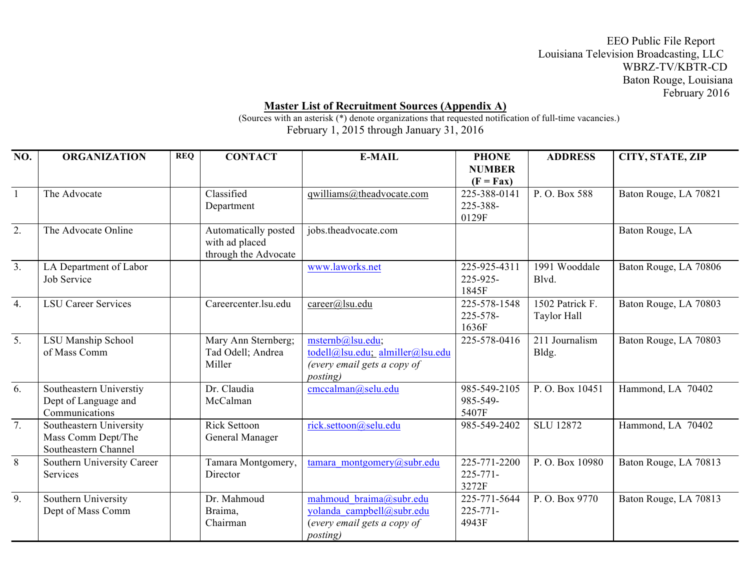EEO Public File Report Louisiana Television Broadcasting, LLC WBRZ-TV/KBTR-CD Baton Rouge, Louisiana February 2016

## **Master List of Recruitment Sources (Appendix A)**

(Sources with an asterisk (\*) denote organizations that requested notification of full-time vacancies.) February 1, 2015 through January 31, 2016

| NO.              | <b>ORGANIZATION</b>                                                   | <b>REQ</b> | <b>CONTACT</b>                                                 | <b>E-MAIL</b>                                                                                           | <b>PHONE</b><br><b>NUMBER</b><br>$(F = Fax)$ | <b>ADDRESS</b>                 | CITY, STATE, ZIP      |
|------------------|-----------------------------------------------------------------------|------------|----------------------------------------------------------------|---------------------------------------------------------------------------------------------------------|----------------------------------------------|--------------------------------|-----------------------|
| $\mathbf{1}$     | The Advocate                                                          |            | Classified<br>Department                                       | qwilliams@theadvocate.com                                                                               | 225-388-0141<br>225-388-<br>0129F            | P.O. Box 588                   | Baton Rouge, LA 70821 |
| 2.               | The Advocate Online                                                   |            | Automatically posted<br>with ad placed<br>through the Advocate | jobs.theadvocate.com                                                                                    |                                              |                                | Baton Rouge, LA       |
| 3.               | LA Department of Labor<br>Job Service                                 |            |                                                                | www.laworks.net                                                                                         | 225-925-4311<br>225-925-<br>1845F            | 1991 Wooddale<br>Blvd.         | Baton Rouge, LA 70806 |
| $\overline{4}$ . | <b>LSU Career Services</b>                                            |            | Careercenter.lsu.edu                                           | career@lsu.edu                                                                                          | 225-578-1548<br>225-578-<br>1636F            | 1502 Patrick F.<br>Taylor Hall | Baton Rouge, LA 70803 |
| $\overline{5}$ . | LSU Manship School<br>of Mass Comm                                    |            | Mary Ann Sternberg;<br>Tad Odell; Andrea<br>Miller             | msternb@lsu.edu;<br>todell@lsu.edu; almiller@lsu.edu<br>(every email gets a copy of<br><i>posting</i> ) | 225-578-0416                                 | 211 Journalism<br>Bldg.        | Baton Rouge, LA 70803 |
| 6.               | Southeastern Universtiy<br>Dept of Language and<br>Communications     |            | Dr. Claudia<br>McCalman                                        | cmccalman@selu.edu                                                                                      | 985-549-2105<br>985-549-<br>5407F            | P.O. Box 10451                 | Hammond, LA 70402     |
| $\overline{7}$ . | Southeastern University<br>Mass Comm Dept/The<br>Southeastern Channel |            | <b>Rick Settoon</b><br>General Manager                         | rick.settoon@selu.edu                                                                                   | 985-549-2402                                 | <b>SLU 12872</b>               | Hammond, LA 70402     |
| $\overline{8}$   | Southern University Career<br>Services                                |            | Tamara Montgomery,<br>Director                                 | tamara montgomery@subr.edu                                                                              | 225-771-2200<br>$225 - 771 -$<br>3272F       | P.O. Box 10980                 | Baton Rouge, LA 70813 |
| 9.               | Southern University<br>Dept of Mass Comm                              |            | Dr. Mahmoud<br>Braima,<br>Chairman                             | mahmoud braima@subr.edu<br>yolanda campbell@subr.edu<br>(every email gets a copy of<br><i>posting</i> ) | 225-771-5644<br>$225 - 771 -$<br>4943F       | P.O. Box 9770                  | Baton Rouge, LA 70813 |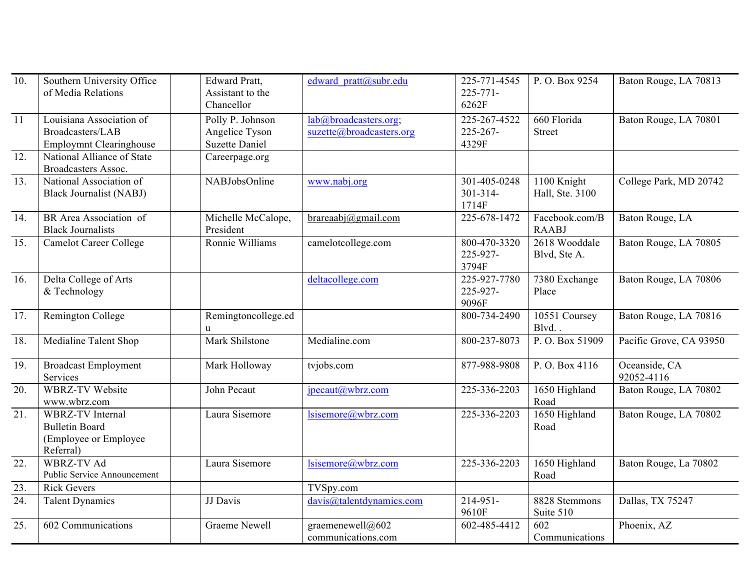| 10. | Southern University Office<br>of Media Relations                                        | <b>Edward Pratt,</b><br>Assistant to the<br>Chancellor      | edward pratt@subr.edu                             | 225-771-4545<br>$225 - 771 -$<br>6262F | P.O. Box 9254                               | Baton Rouge, LA 70813       |
|-----|-----------------------------------------------------------------------------------------|-------------------------------------------------------------|---------------------------------------------------|----------------------------------------|---------------------------------------------|-----------------------------|
| 11  | Louisiana Association of<br>Broadcasters/LAB<br><b>Employmnt Clearinghouse</b>          | Polly P. Johnson<br>Angelice Tyson<br><b>Suzette Daniel</b> | lab@broadcasters.org;<br>suzette@broadcasters.org | 225-267-4522<br>225-267-<br>4329F      | 660 Florida<br><b>Street</b>                | Baton Rouge, LA 70801       |
| 12. | National Alliance of State<br><b>Broadcasters Assoc.</b>                                | Careerpage.org                                              |                                                   |                                        |                                             |                             |
| 13. | National Association of<br><b>Black Journalist (NABJ)</b>                               | NABJobsOnline                                               | www.nabj.org                                      | 301-405-0248<br>$301 - 314 -$<br>1714F | $\overline{1100}$ Knight<br>Hall, Ste. 3100 | College Park, MD 20742      |
| 14. | BR Area Association of<br><b>Black Journalists</b>                                      | Michelle McCalope,<br>President                             | brareaabj $@g$ mail.com                           | 225-678-1472                           | Facebook.com/B<br><b>RAABJ</b>              | Baton Rouge, LA             |
| 15. | <b>Camelot Career College</b>                                                           | Ronnie Williams                                             | camelotcollege.com                                | 800-470-3320<br>225-927-<br>3794F      | 2618 Wooddale<br>Blvd, Ste A.               | Baton Rouge, LA 70805       |
| 16. | Delta College of Arts<br>& Technology                                                   |                                                             | deltacollege.com                                  | 225-927-7780<br>225-927-<br>9096F      | 7380 Exchange<br>Place                      | Baton Rouge, LA 70806       |
| 17. | Remington College                                                                       | Remingtoncollege.ed<br>$\mathbf{u}$                         |                                                   | 800-734-2490                           | 10551 Coursey<br>Blvd.                      | Baton Rouge, LA 70816       |
| 18. | Medialine Talent Shop                                                                   | Mark Shilstone                                              | Medialine.com                                     | 800-237-8073                           | P.O. Box 51909                              | Pacific Grove, CA 93950     |
| 19. | <b>Broadcast Employment</b><br>Services                                                 | Mark Holloway                                               | tvjobs.com                                        | 877-988-9808                           | P.O. Box 4116                               | Oceanside, CA<br>92052-4116 |
| 20. | <b>WBRZ-TV Website</b><br>www.wbrz.com                                                  | John Pecaut                                                 | $\text{jpecaut}(a)$ wbrz.com                      | 225-336-2203                           | 1650 Highland<br>Road                       | Baton Rouge, LA 70802       |
| 21. | <b>WBRZ-TV</b> Internal<br><b>Bulletin Board</b><br>(Employee or Employee)<br>Referral) | Laura Sisemore                                              | lsisemore@wbrz.com                                | 225-336-2203                           | 1650 Highland<br>Road                       | Baton Rouge, LA 70802       |
| 22. | <b>WBRZ-TV Ad</b><br><b>Public Service Announcement</b>                                 | Laura Sisemore                                              | lsisemore@wbrz.com                                | 225-336-2203                           | 1650 Highland<br>Road                       | Baton Rouge, La 70802       |
| 23. | <b>Rick Gevers</b>                                                                      |                                                             | TVSpy.com                                         |                                        |                                             |                             |
| 24. | <b>Talent Dynamics</b>                                                                  | JJ Davis                                                    | davis@talentdynamics.com                          | 214-951-<br>9610F                      | 8828 Stemmons<br>Suite 510                  | Dallas, TX 75247            |
| 25. | 602 Communications                                                                      | <b>Graeme Newell</b>                                        | graemenewell@602<br>communications.com            | 602-485-4412                           | 602<br>Communications                       | Phoenix, AZ                 |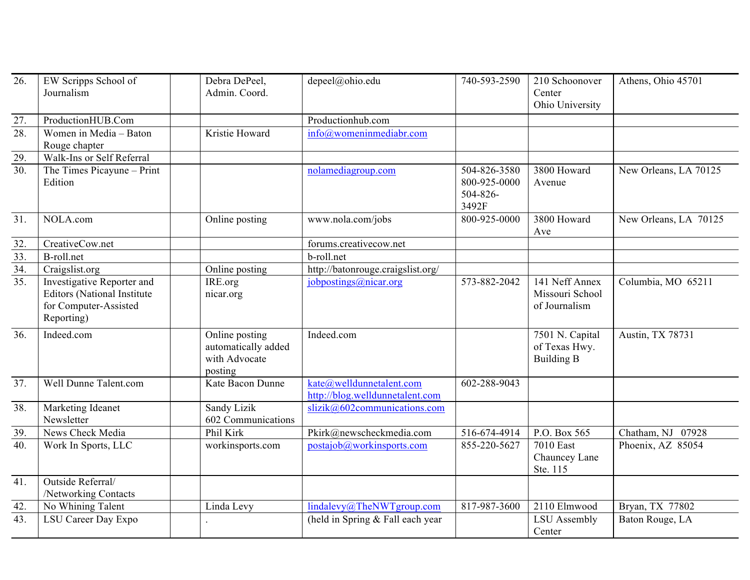| 26.               | EW Scripps School of<br>Journalism                                                                       | Debra DePeel,<br>Admin. Coord.                                    | depeel@ohio.edu                                             | 740-593-2590                                      | 210 Schoonover<br>Center<br>Ohio University           | Athens, Ohio 45701    |
|-------------------|----------------------------------------------------------------------------------------------------------|-------------------------------------------------------------------|-------------------------------------------------------------|---------------------------------------------------|-------------------------------------------------------|-----------------------|
| 27.               | ProductionHUB.Com                                                                                        |                                                                   | Productionhub.com                                           |                                                   |                                                       |                       |
| 28.               | Women in Media - Baton<br>Rouge chapter                                                                  | Kristie Howard                                                    | $info@$ womeninmediabr.com                                  |                                                   |                                                       |                       |
| 29.               | Walk-Ins or Self Referral                                                                                |                                                                   |                                                             |                                                   |                                                       |                       |
| 30.               | The Times Picayune - Print<br>Edition                                                                    |                                                                   | nolamediagroup.com                                          | 504-826-3580<br>800-925-0000<br>504-826-<br>3492F | 3800 Howard<br>Avenue                                 | New Orleans, LA 70125 |
| $\overline{31}$ . | NOLA.com                                                                                                 | Online posting                                                    | www.nola.com/jobs                                           | 800-925-0000                                      | 3800 Howard<br>Ave                                    | New Orleans, LA 70125 |
| 32.               | CreativeCow.net                                                                                          |                                                                   | forums.creativecow.net                                      |                                                   |                                                       |                       |
| $\overline{33}$ . | B-roll.net                                                                                               |                                                                   | b-roll.net                                                  |                                                   |                                                       |                       |
| $\overline{34}$ . | Craigslist.org                                                                                           | Online posting                                                    | http://batonrouge.craigslist.org/                           |                                                   |                                                       |                       |
| $\overline{35}$ . | Investigative Reporter and<br><b>Editors (National Institute)</b><br>for Computer-Assisted<br>Reporting) | IRE.org<br>nicar.org                                              | jobpostings@nicar.org                                       | $\overline{573} - 882 - 2042$                     | 141 Neff Annex<br>Missouri School<br>of Journalism    | Columbia, MO 65211    |
| 36.               | Indeed.com                                                                                               | Online posting<br>automatically added<br>with Advocate<br>posting | Indeed.com                                                  |                                                   | 7501 N. Capital<br>of Texas Hwy.<br><b>Building B</b> | Austin, TX 78731      |
| 37.               | Well Dunne Talent.com                                                                                    | Kate Bacon Dunne                                                  | kate@welldunnetalent.com<br>http://blog.welldunnetalent.com | 602-288-9043                                      |                                                       |                       |
| 38.               | Marketing Ideanet<br>Newsletter                                                                          | Sandy Lizik<br>602 Communications                                 | $slizik@602commonications.com$                              |                                                   |                                                       |                       |
| 39.               | News Check Media                                                                                         | Phil Kirk                                                         | Pkirk@newscheckmedia.com                                    | 516-674-4914                                      | P.O. Box 565                                          | Chatham, NJ 07928     |
| 40.               | Work In Sports, LLC                                                                                      | workinsports.com                                                  | postajob@workinsports.com                                   | 855-220-5627                                      | 7010 East<br>Chauncey Lane<br>Ste. 115                | Phoenix, AZ 85054     |
| 41.               | Outside Referral/<br>/Networking Contacts                                                                |                                                                   |                                                             |                                                   |                                                       |                       |
| 42.               | No Whining Talent                                                                                        | Linda Levy                                                        | lindalevy@The NWT group.com                                 | 817-987-3600                                      | 2110 Elmwood                                          | Bryan, TX 77802       |
| 43.               | LSU Career Day Expo                                                                                      |                                                                   | (held in Spring & Fall each year                            |                                                   | LSU Assembly<br>Center                                | Baton Rouge, LA       |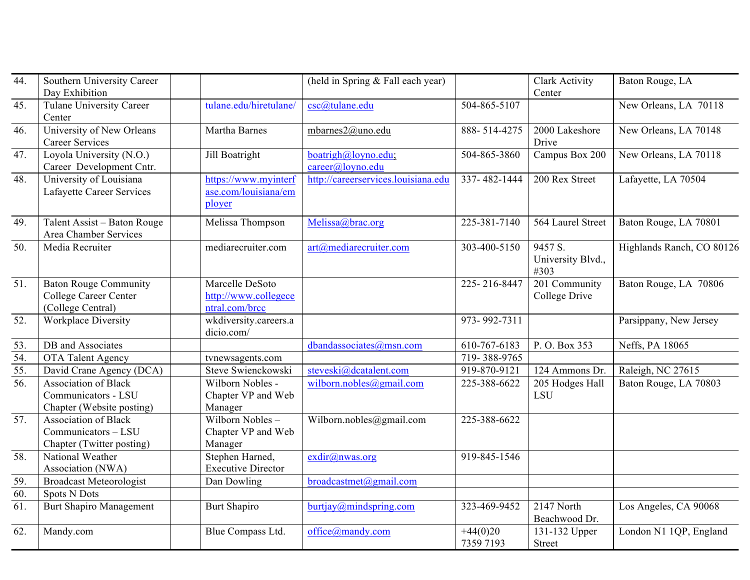| 44. | Southern University Career<br>Day Exhibition                                    |                                                           | (held in Spring & Fall each year)            |                         | Clark Activity<br>Center             | Baton Rouge, LA           |
|-----|---------------------------------------------------------------------------------|-----------------------------------------------------------|----------------------------------------------|-------------------------|--------------------------------------|---------------------------|
| 45. | Tulane University Career<br>Center                                              | tulane.edu/hiretulane/                                    | csc@tulane.edu                               | 504-865-5107            |                                      | New Orleans, LA 70118     |
| 46. | University of New Orleans<br><b>Career Services</b>                             | Martha Barnes                                             | mbarnes2@uno.edu                             | 888-514-4275            | 2000 Lakeshore<br>Drive              | New Orleans, LA 70148     |
| 47. | Loyola University (N.O.)<br>Career Development Cntr.                            | Jill Boatright                                            | boatrigh@loyno.edu;<br>$career(a)$ loyno.edu | 504-865-3860            | Campus Box 200                       | New Orleans, LA 70118     |
| 48. | University of Louisiana<br>Lafayette Career Services                            | https://www.myinterf<br>ase.com/louisiana/em<br>ployer    | http://careerservices.louisiana.edu          | 337-482-1444            | 200 Rex Street                       | Lafayette, LA 70504       |
| 49. | Talent Assist – Baton Rouge<br>Area Chamber Services                            | Melissa Thompson                                          | Melissa@brac.org                             | 225-381-7140            | 564 Laurel Street                    | Baton Rouge, LA 70801     |
| 50. | Media Recruiter                                                                 | mediarecruiter.com                                        | art@mediarecruiter.com                       | 303-400-5150            | 9457 S.<br>University Blvd.,<br>#303 | Highlands Ranch, CO 80126 |
| 51. | <b>Baton Rouge Community</b><br>College Career Center<br>(College Central)      | Marcelle DeSoto<br>http://www.collegece<br>ntral.com/brcc |                                              | 225-216-8447            | 201 Community<br>College Drive       | Baton Rouge, LA 70806     |
| 52. | Workplace Diversity                                                             | wkdiversity.careers.a<br>dicio.com/                       |                                              | 973-992-7311            |                                      | Parsippany, New Jersey    |
| 53. | DB and Associates                                                               |                                                           | $dband$ associates $@$ msn.com               | 610-767-6183            | P.O. Box 353                         | Neffs, PA 18065           |
| 54. | OTA Talent Agency                                                               | tvnewsagents.com                                          |                                              | 719-388-9765            |                                      |                           |
| 55. | David Crane Agency (DCA)                                                        | Steve Swienckowski                                        | steveski@dcatalent.com                       | 919-870-9121            | $\overline{12}4$ Ammons Dr.          | Raleigh, NC 27615         |
| 56. | <b>Association of Black</b><br>Communicators - LSU<br>Chapter (Website posting) | Wilborn Nobles -<br>Chapter VP and Web<br>Manager         | wilborn.nobles@gmail.com                     | 225-388-6622            | 205 Hodges Hall<br><b>LSU</b>        | Baton Rouge, LA 70803     |
| 57. | <b>Association of Black</b><br>Communicators - LSU<br>Chapter (Twitter posting) | Wilborn Nobles-<br>Chapter VP and Web<br>Manager          | Wilborn.nobles@gmail.com                     | 225-388-6622            |                                      |                           |
| 58. | National Weather<br>Association (NWA)                                           | Stephen Harned,<br><b>Executive Director</b>              | exdir@nwas.org                               | 919-845-1546            |                                      |                           |
| 59. | <b>Broadcast Meteorologist</b>                                                  | Dan Dowling                                               | broadcastmet@gmail.com                       |                         |                                      |                           |
| 60. | <b>Spots N Dots</b>                                                             |                                                           |                                              |                         |                                      |                           |
| 61. | <b>Burt Shapiro Management</b>                                                  | <b>Burt Shapiro</b>                                       | butijay@mindspring.com                       | 323-469-9452            | 2147 North<br>Beachwood Dr.          | Los Angeles, CA 90068     |
| 62. | Mandy.com                                                                       | Blue Compass Ltd.                                         | office@mandy.com                             | $+44(0)20$<br>7359 7193 | 131-132 Upper<br><b>Street</b>       | London N1 1QP, England    |